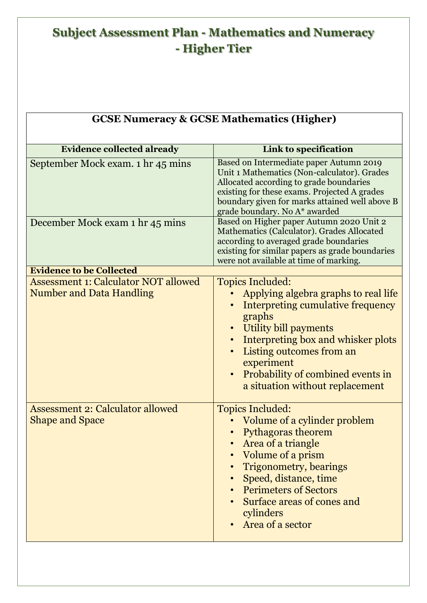## **Subject Assessment Plan - Mathematics and Numeracy - Higher Tier**

| <b>GCSE Numeracy &amp; GCSE Mathematics (Higher)</b>                           |                                                                                                                                                                                                                                                                                                              |  |
|--------------------------------------------------------------------------------|--------------------------------------------------------------------------------------------------------------------------------------------------------------------------------------------------------------------------------------------------------------------------------------------------------------|--|
| <b>Evidence collected already</b>                                              | Link to specification                                                                                                                                                                                                                                                                                        |  |
| September Mock exam. 1 hr 45 mins                                              | Based on Intermediate paper Autumn 2019<br>Unit 1 Mathematics (Non-calculator). Grades<br>Allocated according to grade boundaries<br>existing for these exams. Projected A grades<br>boundary given for marks attained well above B<br>grade boundary. No A* awarded                                         |  |
| December Mock exam 1 hr 45 mins                                                | Based on Higher paper Autumn 2020 Unit 2<br>Mathematics (Calculator). Grades Allocated<br>according to averaged grade boundaries<br>existing for similar papers as grade boundaries<br>were not available at time of marking.                                                                                |  |
| <b>Evidence to be Collected</b>                                                |                                                                                                                                                                                                                                                                                                              |  |
| <b>Assessment 1: Calculator NOT allowed</b><br><b>Number and Data Handling</b> | <b>Topics Included:</b><br>Applying algebra graphs to real life<br>Interpreting cumulative frequency<br>graphs<br>Utility bill payments<br>Interpreting box and whisker plots<br>Listing outcomes from an<br>experiment<br>Probability of combined events in<br>$\bullet$<br>a situation without replacement |  |
| <b>Assessment 2: Calculator allowed</b><br><b>Shape and Space</b>              | <b>Topics Included:</b><br>Volume of a cylinder problem<br><b>Pythagoras theorem</b><br>Area of a triangle<br>Volume of a prism<br><b>Trigonometry, bearings</b><br>Speed, distance, time<br><b>Perimeters of Sectors</b><br>Surface areas of cones and<br>cylinders<br>Area of a sector                     |  |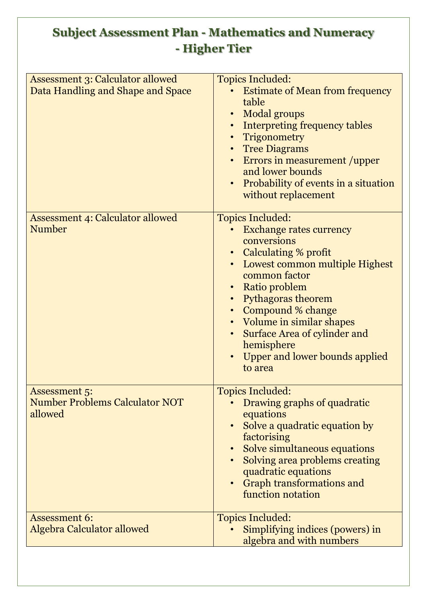## **Subject Assessment Plan - Mathematics and Numeracy - Higher Tier**

| <b>Assessment 3: Calculator allowed</b><br>Data Handling and Shape and Space | <b>Topics Included:</b><br><b>Estimate of Mean from frequency</b><br>table<br><b>Modal groups</b><br>• Interpreting frequency tables<br>Trigonometry<br>• Tree Diagrams<br>• Errors in measurement /upper<br>and lower bounds<br>Probability of events in a situation<br>without replacement                                                     |
|------------------------------------------------------------------------------|--------------------------------------------------------------------------------------------------------------------------------------------------------------------------------------------------------------------------------------------------------------------------------------------------------------------------------------------------|
| <b>Assessment 4: Calculator allowed</b><br><b>Number</b>                     | <b>Topics Included:</b><br><b>Exchange rates currency</b><br>conversions<br>• Calculating % profit<br>Lowest common multiple Highest<br>common factor<br>• Ratio problem<br>• Pythagoras theorem<br>• Compound % change<br>• Volume in similar shapes<br>Surface Area of cylinder and<br>hemisphere<br>Upper and lower bounds applied<br>to area |
| <b>Assessment 5:</b><br><b>Number Problems Calculator NOT</b><br>allowed     | <b>Topics Included:</b><br>Drawing graphs of quadratic<br>equations<br>Solve a quadratic equation by<br>factorising<br>Solve simultaneous equations<br>Solving area problems creating<br>quadratic equations<br><b>Graph transformations and</b><br>function notation                                                                            |
| <b>Assessment 6:</b><br>Algebra Calculator allowed                           | <b>Topics Included:</b><br>Simplifying indices (powers) in<br>algebra and with numbers                                                                                                                                                                                                                                                           |